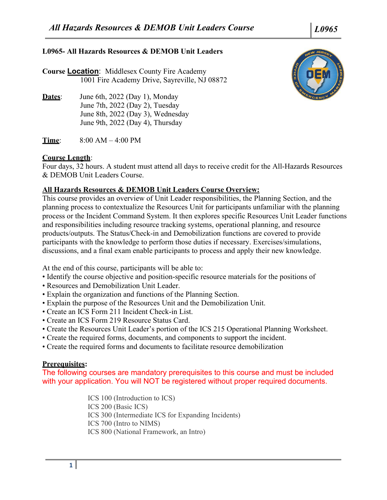# **L0965- All Hazards Resources & DEMOB Unit Leaders**

**Course Location**: Middlesex County Fire Academy 1001 Fire Academy Drive, Sayreville, NJ 08872

**Dates**: June 6th, 2022 (Day 1), Monday June 7th, 2022 (Day 2), Tuesday June 8th, 2022 (Day 3), Wednesday June 9th, 2022 (Day 4), Thursday

**Time**: 8:00 AM – 4:00 PM

# **Course Length**:

Four days, 32 hours. A student must attend all days to receive credit for the All-Hazards Resources & DEMOB Unit Leaders Course.

# **All Hazards Resources & DEMOB Unit Leaders Course Overview:**

This course provides an overview of Unit Leader responsibilities, the Planning Section, and the planning process to contextualize the Resources Unit for participants unfamiliar with the planning process or the Incident Command System. It then explores specific Resources Unit Leader functions and responsibilities including resource tracking systems, operational planning, and resource products/outputs. The Status/Check-in and Demobilization functions are covered to provide participants with the knowledge to perform those duties if necessary. Exercises/simulations, discussions, and a final exam enable participants to process and apply their new knowledge.

At the end of this course, participants will be able to:

- Identify the course objective and position-specific resource materials for the positions of
- Resources and Demobilization Unit Leader.
- Explain the organization and functions of the Planning Section.
- Explain the purpose of the Resources Unit and the Demobilization Unit.
- Create an ICS Form 211 Incident Check-in List.
- Create an ICS Form 219 Resource Status Card.
- Create the Resources Unit Leader's portion of the ICS 215 Operational Planning Worksheet.
- Create the required forms, documents, and components to support the incident.
- Create the required forms and documents to facilitate resource demobilization

## **Prerequisites:**

The following courses are mandatory prerequisites to this course and must be included with your application. You will NOT be registered without proper required documents.

> ICS 100 (Introduction to ICS) ICS 200 (Basic ICS) ICS 300 (Intermediate ICS for Expanding Incidents) ICS 700 (Intro to NIMS) ICS 800 (National Framework, an Intro)